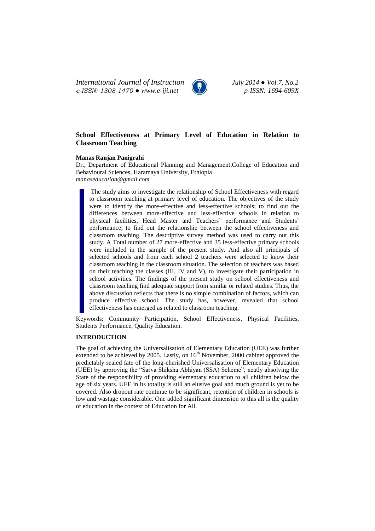*International Journal of Instruction July 2014 ● Vol.7, No.2 e-ISSN: 1308-1470 ● www.e-iji.net p-ISSN: 1694-609X*



# **School Effectiveness at Primary Level of Education in Relation to Classroom Teaching**

## **Manas Ranjan Panigrahi**

Dr., Department of Educational Planning and Management,College of Education and Behavioural Sciences, Haramaya University, Ethiopia *[manaseducation@gmail.com](mailto:manaseducation@gmail.com)*

The study aims to investigate the relationship of School Effectiveness with regard to classroom teaching at primary level of education. The objectives of the study were to identify the more-effective and less-effective schools; to find out the differences between more-effective and less-effective schools in relation to physical facilities, Head Master and Teachers' performance and Students' performance; to find out the relationship between the school effectiveness and classroom teaching. The descriptive survey method was used to carry out this study. A Total number of 27 more-effective and 35 less-effective primary schools were included in the sample of the present study. And also all principals of selected schools and from each school 2 teachers were selected to know their classroom teaching in the classroom situation. The selection of teachers was based on their teaching the classes (III, IV and V), to investigate their participation in school activities. The findings of the present study on school effectiveness and classroom teaching find adequate support from similar or related studies. Thus, the above discussion reflects that there is no simple combination of factors, which can produce effective school. The study has, however, revealed that school effectiveness has emerged as related to classroom teaching.

Keywords: Community Participation, School Effectiveness, Physical Facilities, Students Performance, Quality Education.

### **INTRODUCTION**

The goal of achieving the Universalisation of Elementary Education (UEE) was further extended to be achieved by 2005. Lastly, on 16<sup>th</sup> November, 2000 cabinet approved the predictably sealed fate of the long-cherished Universalisation of Elementary Education (UEE) by approving the "Sarva Shiksha Abhiyan (SSA) Scheme", neatly absolving the State of the responsibility of providing elementary education to all children below the age of six years. UEE in its totality is still an elusive goal and much ground is yet to be covered. Also dropout rate continue to be significant, retention of children in schools is low and wastage considerable. One added significant dimension to this all is the quality of education in the context of Education for All.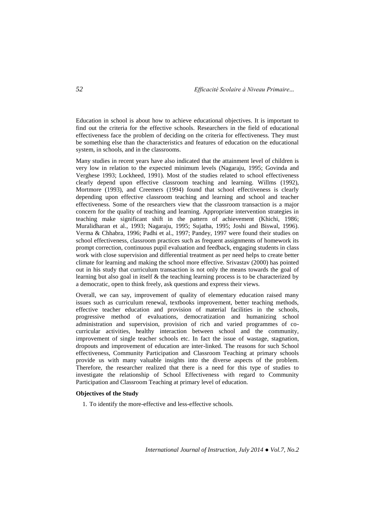Education in school is about how to achieve educational objectives. It is important to find out the criteria for the effective schools. Researchers in the field of educational effectiveness face the problem of deciding on the criteria for effectiveness. They must be something else than the characteristics and features of education on the educational system, in schools, and in the classrooms.

Many studies in recent years have also indicated that the attainment level of children is very low in relation to the expected minimum levels (Nagaraju, 1995; Govinda and Verghese 1993; Lockheed, 1991). Most of the studies related to school effectiveness clearly depend upon effective classroom teaching and learning. Willms (1992), Mortmore (1993), and Creemers (1994) found that school effectiveness is clearly depending upon effective classroom teaching and learning and school and teacher effectiveness. Some of the researchers view that the classroom transaction is a major concern for the quality of teaching and learning. Appropriate intervention strategies in teaching make significant shift in the pattern of achievement (Khichi, 1986; Muralidharan et al., 1993; Nagaraju, 1995; Sujatha, 1995; Joshi and Biswal, 1996). Verma & Chhabra, 1996; Padhi et al., 1997; Pandey, 1997 were found their studies on school effectiveness, classroom practices such as frequent assignments of homework its prompt correction, continuous pupil evaluation and feedback, engaging students in class work with close supervision and differential treatment as per need helps to create better climate for learning and making the school more effective. Srivastav (2000) has pointed out in his study that curriculum transaction is not only the means towards the goal of learning but also goal in itself & the teaching learning process is to be characterized by a democratic, open to think freely, ask questions and express their views.

Overall, we can say, improvement of quality of elementary education raised many issues such as curriculum renewal, textbooks improvement, better teaching methods, effective teacher education and provision of material facilities in the schools, progressive method of evaluations, democratization and humanizing school administration and supervision, provision of rich and varied programmes of cocurricular activities, healthy interaction between school and the community, improvement of single teacher schools etc. In fact the issue of wastage, stagnation, dropouts and improvement of education are inter-linked. The reasons for such School effectiveness, Community Participation and Classroom Teaching at primary schools provide us with many valuable insights into the diverse aspects of the problem. Therefore, the researcher realized that there is a need for this type of studies to investigate the relationship of School Effectiveness with regard to Community Participation and Classroom Teaching at primary level of education.

# **Objectives of the Study**

1. To identify the more-effective and less-effective schools.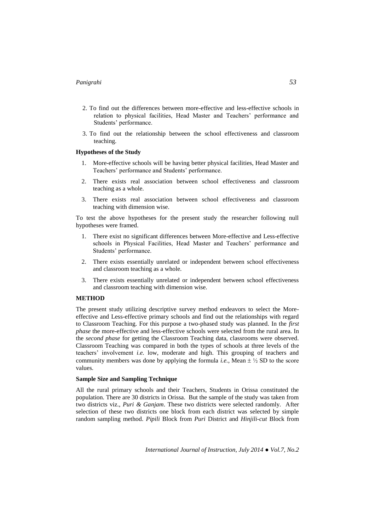- 2. To find out the differences between more-effective and less-effective schools in relation to physical facilities, Head Master and Teachers' performance and Students' performance.
- 3. To find out the relationship between the school effectiveness and classroom teaching.

## **Hypotheses of the Study**

- 1. More-effective schools will be having better physical facilities, Head Master and Teachers' performance and Students' performance.
- 2. There exists real association between school effectiveness and classroom teaching as a whole.
- 3. There exists real association between school effectiveness and classroom teaching with dimension wise.

To test the above hypotheses for the present study the researcher following null hypotheses were framed.

- 1. There exist no significant differences between More-effective and Less-effective schools in Physical Facilities, Head Master and Teachers' performance and Students' performance.
- 2. There exists essentially unrelated or independent between school effectiveness and classroom teaching as a whole.
- 3. There exists essentially unrelated or independent between school effectiveness and classroom teaching with dimension wise.

#### **METHOD**

The present study utilizing descriptive survey method endeavors to select the Moreeffective and Less-effective primary schools and find out the relationships with regard to Classroom Teaching. For this purpose a two-phased study was planned. In the *first phase* the more-effective and less-effective schools were selected from the rural area. In the *second phase* for getting the Classroom Teaching data, classrooms were observed. Classroom Teaching was compared in both the types of schools at three levels of the teachers' involvement *i.e.* low, moderate and high. This grouping of teachers and community members was done by applying the formula *i.e.*, Mean  $\pm \frac{1}{2}$  SD to the score values.

# **Sample Size and Sampling Technique**

All the rural primary schools and their Teachers, Students in Orissa constituted the population. There are 30 districts in Orissa. But the sample of the study was taken from two districts viz., *Puri & Ganjam*. These two districts were selected randomly. After selection of these two districts one block from each district was selected by simple random sampling method. *Pipili* Block from *Puri* District and *Hinjili-cut* Block from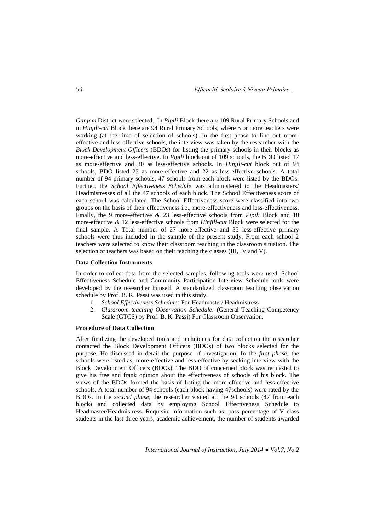*Ganjam* District were selected. In *Pipili* Block there are 109 Rural Primary Schools and in *Hinjili-cut* Block there are 94 Rural Primary Schools, where 5 or more teachers were working (at the time of selection of schools). In the first phase to find out moreeffective and less-effective schools, the interview was taken by the researcher with the *Block Development Officers* (BDOs) for listing the primary schools in their blocks as more-effective and less-effective. In *Pipili* block out of 109 schools, the BDO listed 17 as more-effective and 30 as less-effective schools. In *Hinjili-cut* block out of 94 schools, BDO listed 25 as more-effective and 22 as less-effective schools. A total number of 94 primary schools, 47 schools from each block were listed by the BDOs. Further, the *School Effectiveness Schedule* was administered to the Headmasters/ Headmistresses of all the 47 schools of each block. The School Effectiveness score of each school was calculated. The School Effectiveness score were classified into two groups on the basis of their effectiveness i.e., more-effectiveness and less-effectiveness. Finally, the 9 more-effective & 23 less-effective schools from *Pipili* Block and 18 more-effective & 12 less-effective schools from *Hinjili-cut* Block were selected for the final sample. A Total number of 27 more-effective and 35 less-effective primary schools were thus included in the sample of the present study. From each school 2 teachers were selected to know their classroom teaching in the classroom situation. The selection of teachers was based on their teaching the classes (III, IV and V).

#### **Data Collection Instruments**

In order to collect data from the selected samples, following tools were used. School Effectiveness Schedule and Community Participation Interview Schedule tools were developed by the researcher himself. A standardized classroom teaching observation schedule by Prof. B. K. Passi was used in this study.

- 1. *School Effectiveness Schedule:* For Headmaster/ Headmistress
- 2. *Classroom teaching Observation Schedule:* (General Teaching Competency Scale (GTCS) by Prof. B. K. Passi) For Classroom Observation.

#### **Procedure of Data Collection**

After finalizing the developed tools and techniques for data collection the researcher contacted the Block Development Officers (BDOs) of two blocks selected for the purpose. He discussed in detail the purpose of investigation. In the *first phase,* the schools were listed as, more-effective and less-effective by seeking interview with the Block Development Officers (BDOs). The BDO of concerned block was requested to give his free and frank opinion about the effectiveness of schools of his block. The views of the BDOs formed the basis of listing the more-effective and less-effective schools. A total number of 94 schools (each block having 47schools) were rated by the BDOs. In the *second phase,* the researcher visited all the 94 schools (47 from each block) and collected data by employing School Effectiveness Schedule to Headmaster/Headmistress. Requisite information such as: pass percentage of V class students in the last three years, academic achievement, the number of students awarded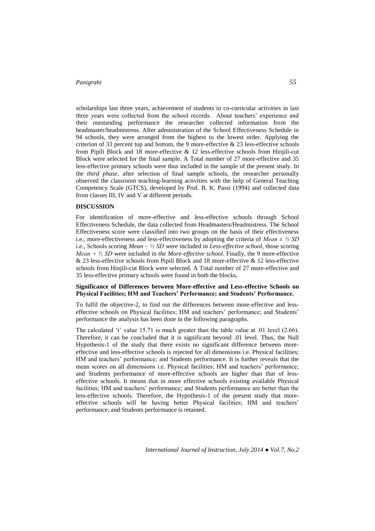scholarships last three years, achievement of students in co-curricular activities in last three years were collected from the school records. About teachers' experience and their outstanding performance the researcher collected information from the headmaster/headmistress. After administration of the School Effectiveness Schedule in 94 schools, they were arranged from the highest to the lowest order. Applying the criterion of 33 percent top and bottom, the 9 more-effective  $\&$  23 less-effective schools from Pipili Block and 18 more-effective & 12 less-effective schools from Hinjili-cut Block were selected for the final sample. A Total number of 27 more-effective and 35 less-effective primary schools were thus included in the sample of the present study. In the *third phase,* after selection of final sample schools, the researcher personally observed the classroom teaching-learning activities with the help of General Teaching Competency Scale (GTCS), developed by Prof. B. K. Passi (1994) and collected data from classes III, IV and V at different periods.

## **DISCUSSION**

For identification of more-effective and less-effective schools through School Effectiveness Schedule, the data collected from Headmasters/Headmistress. The School Effectiveness score were classified into two groups on the basis of their effectiveness i.e., more-effectiveness and less-effectiveness by adopting the criteria of *Mean ± ½ SD* i.e., Schools scoring *Mean – ½ SD* were included in *Less-effective school*, those scoring *Mean + ½ SD* were included in *the More-effective school*. Finally, the 9 more-effective & 23 less-effective schools from Pipili Block and 18 more-effective & 12 less-effective schools from Hinjili-cut Block were selected. A Total number of 27 more-effective and 35 less-effective primary schools were found in both the blocks*.*

## **Significance of Differences between More-effective and Less-effective Schools on Physical Facilities; HM and Teachers' Performance; and Students' Performance.**

To fulfil the objective-2, to find out the differences between more-effective and lesseffective schools on Physical facilities; HM and teachers' performance; and Students' performance the analysis has been done in the following paragraphs.

The calculated 't' value 15.71 is much greater than the table value at .01 level (2.66). Therefore, it can be concluded that it is significant beyond .01 level. Thus, the Null Hypothesis-1 of the study that there exists no significant difference between moreeffective and less-effective schools is rejected for all dimensions i.e. Physical facilities; HM and teachers' performance; and Students performance. It is further reveals that the mean scores on all dimensions i.e. Physical facilities; HM and teachers' performance; and Students performance of more-effective schools are higher than that of lesseffective schools. It means that in more effective schools existing available Physical facilities; HM and teachers' performance; and Students performance are better than the less-effective schools. Therefore, the Hypothesis-1 of the present study that moreeffective schools will be having better Physical facilities; HM and teachers' performance; and Students performance is retained.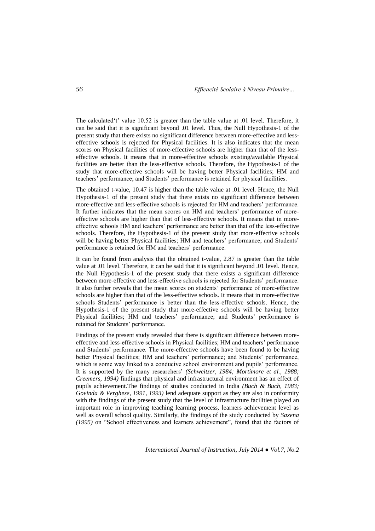The calculated't' value 10.52 is greater than the table value at .01 level. Therefore, it can be said that it is significant beyond .01 level. Thus, the Null Hypothesis-1 of the present study that there exists no significant difference between more-effective and lesseffective schools is rejected for Physical facilities. It is also indicates that the mean scores on Physical facilities of more-effective schools are higher than that of the lesseffective schools. It means that in more-effective schools existing/available Physical facilities are better than the less-effective schools. Therefore, the Hypothesis-1 of the study that more-effective schools will be having better Physical facilities; HM and teachers' performance; and Students' performance is retained for physical facilities.

The obtained t-value, 10.47 is higher than the table value at .01 level. Hence, the Null Hypothesis-1 of the present study that there exists no significant difference between more-effective and less-effective schools is rejected for HM and teachers' performance. It further indicates that the mean scores on HM and teachers' performance of moreeffective schools are higher than that of less-effective schools. It means that in moreeffective schools HM and teachers' performance are better than that of the less-effective schools. Therefore, the Hypothesis-1 of the present study that more-effective schools will be having better Physical facilities; HM and teachers' performance; and Students' performance is retained for HM and teachers' performance.

It can be found from analysis that the obtained t-value, 2.87 is greater than the table value at .01 level. Therefore, it can be said that it is significant beyond .01 level. Hence, the Null Hypothesis-1 of the present study that there exists a significant difference between more-effective and less-effective schools is rejected for Students' performance. It also further reveals that the mean scores on students' performance of more-effective schools are higher than that of the less-effective schools. It means that in more-effective schools Students' performance is better than the less-effective schools. Hence, the Hypothesis-1 of the present study that more-effective schools will be having better Physical facilities; HM and teachers' performance; and Students' performance is retained for Students' performance.

Findings of the present study revealed that there is significant difference between moreeffective and less-effective schools in Physical facilities; HM and teachers' performance and Students' performance. The more-effective schools have been found to be having better Physical facilities; HM and teachers' performance; and Students' performance, which is some way linked to a conducive school environment and pupils' performance. It is supported by the many researchers' *(Schweitzer, 1984; Mortimore et al., 1988; Creemers, 1994)* findings that physical and infrastructural environment has an effect of pupils achievement.The findings of studies conducted in India *(Buch & Buch, 1983; Govinda & Verghese, 1991, 1993)* lend adequate support as they are also in conformity with the findings of the present study that the level of infrastructure facilities played an important role in improving teaching learning process, learners achievement level as well as overall school quality. Similarly, the findings of the study conducted by *Saxena (1995)* on "School effectiveness and learners achievement", found that the factors of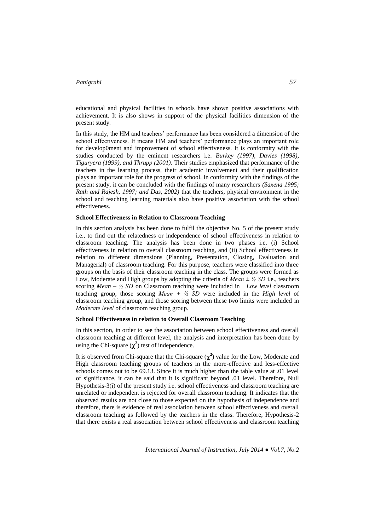educational and physical facilities in schools have shown positive associations with achievement. It is also shows in support of the physical facilities dimension of the present study.

In this study, the HM and teachers' performance has been considered a dimension of the school effectiveness. It means HM and teachers' performance plays an important role for develop0ment and improvement of school effectiveness. It is conformity with the studies conducted by the eminent researchers i.e. *Burkey (1997), Davies (1998), Tiguryera (1999), and Thrupp (2001)*. Their studies emphasized that performance of the teachers in the learning process, their academic involvement and their qualification plays an important role for the progress of school. In conformity with the findings of the present study, it can be concluded with the findings of many researchers *(Saxena 1995; Rath and Rajesh, 1997; and Das, 2002)* that the teachers, physical environment in the school and teaching learning materials also have positive association with the school effectiveness.

#### **School Effectiveness in Relation to Classroom Teaching**

In this section analysis has been done to fulfil the objective No. 5 of the present study i.e., to find out the relatedness or independence of school effectiveness in relation to classroom teaching. The analysis has been done in two phases i.e. (i) School effectiveness in relation to overall classroom teaching, and (ii) School effectiveness in relation to different dimensions (Planning, Presentation, Closing, Evaluation and Managerial) of classroom teaching. For this purpose, teachers were classified into three groups on the basis of their classroom teaching in the class. The groups were formed as Low, Moderate and High groups by adopting the criteria of *Mean ± ½ SD* i.e., teachers scoring *Mean – ½ SD* on Classroom teaching were included in *Low level* classroom teaching group, those scoring *Mean + ½ SD* were included in the *High level* of classroom teaching group, and those scoring between these two limits were included in *Moderate level* of classroom teaching group.

## **School Effectiveness in relation to Overall Classroom Teaching**

In this section, in order to see the association between school effectiveness and overall classroom teaching at different level, the analysis and interpretation has been done by using the Chi-square  $(\chi^2)$  test of independence.

It is observed from Chi-square that the Chi-square  $(\chi^2)$  value for the Low, Moderate and High classroom teaching groups of teachers in the more-effective and less-effective schools comes out to be 69.13. Since it is much higher than the table value at .01 level of significance, it can be said that it is significant beyond .01 level. Therefore, Null Hypothesis-3(i) of the present study i.e. school effectiveness and classroom teaching are unrelated or independent is rejected for overall classroom teaching. It indicates that the observed results are not close to those expected on the hypothesis of independence and therefore, there is evidence of real association between school effectiveness and overall classroom teaching as followed by the teachers in the class. Therefore, Hypothesis-2 that there exists a real association between school effectiveness and classroom teaching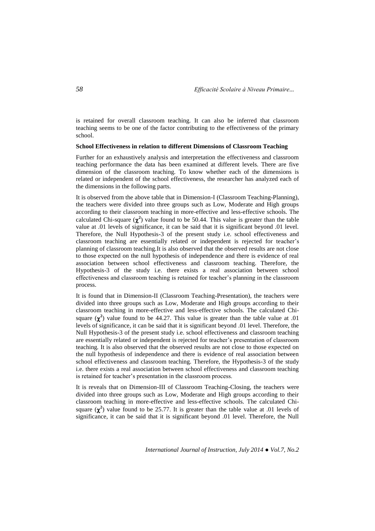is retained for overall classroom teaching. It can also be inferred that classroom teaching seems to be one of the factor contributing to the effectiveness of the primary school.

#### **School Effectiveness in relation to different Dimensions of Classroom Teaching**

Further for an exhaustively analysis and interpretation the effectiveness and classroom teaching performance the data has been examined at different levels. There are five dimension of the classroom teaching. To know whether each of the dimensions is related or independent of the school effectiveness, the researcher has analyzed each of the dimensions in the following parts.

It is observed from the above table that in Dimension-I (Classroom Teaching-Planning), the teachers were divided into three groups such as Low, Moderate and High groups according to their classroom teaching in more-effective and less-effective schools. The calculated Chi-square  $(\chi^2)$  value found to be 50.44. This value is greater than the table value at .01 levels of significance, it can be said that it is significant beyond .01 level. Therefore, the Null Hypothesis-3 of the present study i.e. school effectiveness and classroom teaching are essentially related or independent is rejected for teacher's planning of classroom teaching*.*It is also observed that the observed results are not close to those expected on the null hypothesis of independence and there is evidence of real association between school effectiveness and classroom teaching. Therefore, the Hypothesis-3 of the study i.e. there exists a real association between school effectiveness and classroom teaching is retained for teacher's planning in the classroom process.

It is found that in Dimension-II (Classroom Teaching-Presentation), the teachers were divided into three groups such as Low, Moderate and High groups according to their classroom teaching in more-effective and less-effective schools. The calculated Chisquare  $(\chi^2)$  value found to be 44.27. This value is greater than the table value at .01 levels of significance, it can be said that it is significant beyond .01 level. Therefore, the Null Hypothesis-3 of the present study i.e. school effectiveness and classroom teaching are essentially related or independent is rejected for teacher's presentation of classroom teaching*.* It is also observed that the observed results are not close to those expected on the null hypothesis of independence and there is evidence of real association between school effectiveness and classroom teaching. Therefore, the Hypothesis-3 of the study i.e. there exists a real association between school effectiveness and classroom teaching is retained for teacher's presentation in the classroom process.

It is reveals that on Dimension-III of Classroom Teaching-Closing, the teachers were divided into three groups such as Low, Moderate and High groups according to their classroom teaching in more-effective and less-effective schools. The calculated Chisquare  $(\chi^2)$  value found to be 25.77. It is greater than the table value at .01 levels of significance, it can be said that it is significant beyond .01 level. Therefore, the Null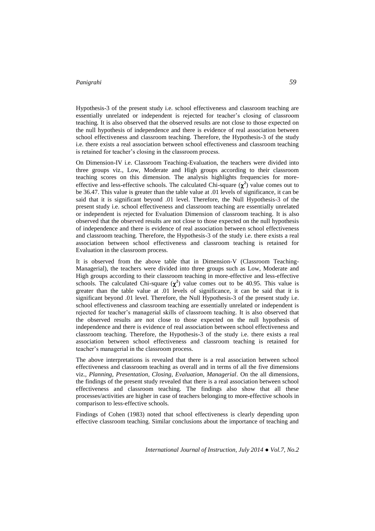Hypothesis-3 of the present study i.e. school effectiveness and classroom teaching are essentially unrelated or independent is rejected for teacher's closing of classroom teaching*.* It is also observed that the observed results are not close to those expected on the null hypothesis of independence and there is evidence of real association between school effectiveness and classroom teaching. Therefore, the Hypothesis-3 of the study i.e. there exists a real association between school effectiveness and classroom teaching is retained for teacher's closing in the classroom process.

On Dimension-IV i.e. Classroom Teaching-Evaluation, the teachers were divided into three groups viz., Low, Moderate and High groups according to their classroom teaching scores on this dimension. The analysis highlights frequencies for moreeffective and less-effective schools. The calculated Chi-square  $(\chi^2)$  value comes out to be 36.47. This value is greater than the table value at .01 levels of significance, it can be said that it is significant beyond .01 level. Therefore, the Null Hypothesis-3 of the present study i.e. school effectiveness and classroom teaching are essentially unrelated or independent is rejected for Evaluation Dimension of classroom teaching*.* It is also observed that the observed results are not close to those expected on the null hypothesis of independence and there is evidence of real association between school effectiveness and classroom teaching. Therefore, the Hypothesis-3 of the study i.e. there exists a real association between school effectiveness and classroom teaching is retained for Evaluation in the classroom process.

It is observed from the above table that in Dimension-V (Classroom Teaching-Managerial), the teachers were divided into three groups such as Low, Moderate and High groups according to their classroom teaching in more-effective and less-effective schools. The calculated Chi-square  $(\chi^2)$  value comes out to be 40.95. This value is greater than the table value at .01 levels of significance, it can be said that it is significant beyond .01 level. Therefore, the Null Hypothesis-3 of the present study i.e. school effectiveness and classroom teaching are essentially unrelated or independent is rejected for teacher's managerial skills of classroom teaching*.* It is also observed that the observed results are not close to those expected on the null hypothesis of independence and there is evidence of real association between school effectiveness and classroom teaching. Therefore, the Hypothesis-3 of the study i.e. there exists a real association between school effectiveness and classroom teaching is retained for teacher's managerial in the classroom process.

The above interpretations is revealed that there is a real association between school effectiveness and classroom teaching as overall and in terms of all the five dimensions viz., *Planning, Presentation, Closing, Evaluation, Managerial.* On the all dimensions, the findings of the present study revealed that there is a real association between school effectiveness and classroom teaching. The findings also show that all these processes/activities are higher in case of teachers belonging to more-effective schools in comparison to less-effective schools.

Findings of Cohen (1983) noted that school effectiveness is clearly depending upon effective classroom teaching. Similar conclusions about the importance of teaching and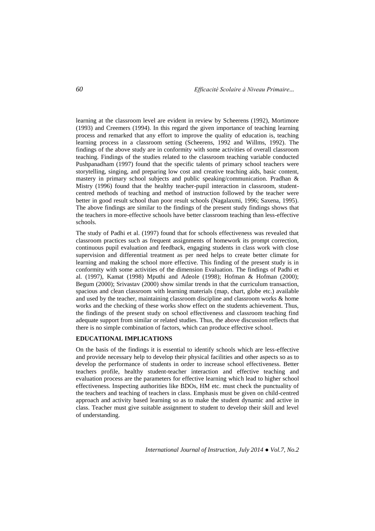learning at the classroom level are evident in review by Scheerens (1992), Mortimore (1993) and Creemers (1994). In this regard the given importance of teaching learning process and remarked that any effort to improve the quality of education is, teaching learning process in a classroom setting (Scheerens, 1992 and Willms, 1992). The findings of the above study are in conformity with some activities of overall classroom teaching. Findings of the studies related to the classroom teaching variable conducted Pushpanadham (1997) found that the specific talents of primary school teachers were storytelling, singing, and preparing low cost and creative teaching aids, basic content, mastery in primary school subjects and public speaking/communication. Pradhan & Mistry (1996) found that the healthy teacher-pupil interaction in classroom, studentcentred methods of teaching and method of instruction followed by the teacher were better in good result school than poor result schools (Nagalaxmi, 1996; Saxena, 1995). The above findings are similar to the findings of the present study findings shows that the teachers in more-effective schools have better classroom teaching than less-effective schools.

The study of Padhi et al. (1997) found that for schools effectiveness was revealed that classroom practices such as frequent assignments of homework its prompt correction, continuous pupil evaluation and feedback, engaging students in class work with close supervision and differential treatment as per need helps to create better climate for learning and making the school more effective. This finding of the present study is in conformity with some activities of the dimension Evaluation. The findings of Padhi et al. (1997), Kamat (1998) Mputhi and Adeole (1998); Hofman & Hofman (2000); Begum (2000); Srivastav (2000) show similar trends in that the curriculum transaction, spacious and clean classroom with learning materials (map, chart, globe etc.) available and used by the teacher, maintaining classroom discipline and classroom works & home works and the checking of these works show effect on the students achievement. Thus, the findings of the present study on school effectiveness and classroom teaching find adequate support from similar or related studies. Thus, the above discussion reflects that there is no simple combination of factors, which can produce effective school.

# **EDUCATIONAL IMPLICATIONS**

On the basis of the findings it is essential to identify schools which are less-effective and provide necessary help to develop their physical facilities and other aspects so as to develop the performance of students in order to increase school effectiveness. Better teachers profile, healthy student-teacher interaction and effective teaching and evaluation process are the parameters for effective learning which lead to higher school effectiveness. Inspecting authorities like BDOs, HM etc. must check the punctuality of the teachers and teaching of teachers in class. Emphasis must be given on child-centred approach and activity based learning so as to make the student dynamic and active in class. Teacher must give suitable assignment to student to develop their skill and level of understanding.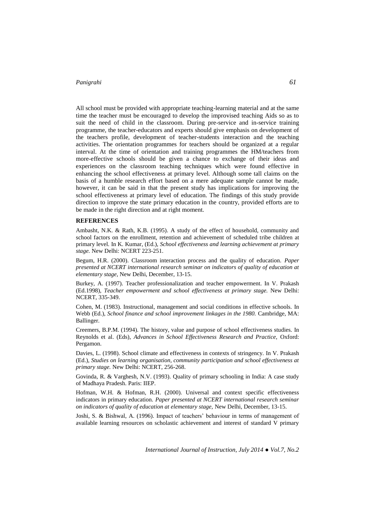All school must be provided with appropriate teaching-learning material and at the same time the teacher must be encouraged to develop the improvised teaching Aids so as to suit the need of child in the classroom. During pre-service and in-service training programme, the teacher-educators and experts should give emphasis on development of the teachers profile, development of teacher-students interaction and the teaching activities. The orientation programmes for teachers should be organized at a regular interval. At the time of orientation and training programmes the HM/teachers from more-effective schools should be given a chance to exchange of their ideas and experiences on the classroom teaching techniques which were found effective in enhancing the school effectiveness at primary level. Although some tall claims on the basis of a humble research effort based on a mere adequate sample cannot be made, however, it can be said in that the present study has implications for improving the school effectiveness at primary level of education. The findings of this study provide direction to improve the state primary education in the country, provided efforts are to be made in the right direction and at right moment.

#### **REFERENCES**

Ambasht, N.K. & Rath, K.B. (1995). A study of the effect of household, community and school factors on the enrollment, retention and achievement of scheduled tribe children at primary level. In K. Kumar, (Ed.), *School effectiveness and learning achievement at primary stage.* New Delhi: NCERT 223-251.

Begum, H.R. (2000). Classroom interaction process and the quality of education. *Paper presented at NCERT international research seminar on indicators of quality of education at elementary stage,* New Delhi, December, 13-15.

Burkey, A. (1997). Teacher professionalization and teacher empowerment. In V. Prakash (Ed.1998), *Teacher empowerment and school effectiveness at primary stage.* New Delhi: NCERT, 335-349.

Cohen, M. (1983). Instructional, management and social conditions in effective schools. In Webb (Ed.), *School finance and school improvement linkages in the 1980.* Cambridge, MA: Ballinger.

Creemers, B.P.M. (1994). The history, value and purpose of school effectiveness studies. In Reynolds et al. (Eds), *Advances in School Effectiveness Research and Practice,* Oxford: Pergamon.

Davies, L. (1998). School climate and effectiveness in contexts of stringency. In V. Prakash (Ed.), *Studies on learning organisation, community participation and school effectiveness at primary stage.* New Delhi: NCERT, 256-268.

Govinda, R. & Varghesh, N.V. (1993). Quality of primary schooling in India: A case study of Madhaya Pradesh. Paris: IIEP.

Hofman, W.H. & Hofman, R.H. (2000). Universal and context specific effectiveness indicators in primary education. *Paper presented at NCERT international research seminar on indicators of quality of education at elementary stage,* New Delhi, December, 13-15.

Joshi, S. & Bishwal, A. (1996). Impact of teachers' behaviour in terms of management of available learning resources on scholastic achievement and interest of standard V primary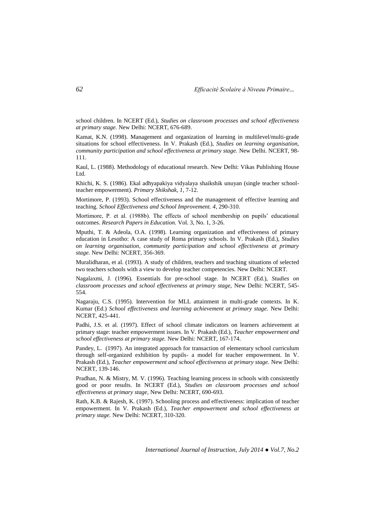school children. In NCERT (Ed.), *Studies on classroom processes and school effectiveness at primary stage.* New Delhi: NCERT, 676-689.

Kamat, K.N. (1998). Management and organization of learning in multilevel/multi-grade situations for school effectiveness. In V. Prakash (Ed.), *Studies on learning organisation, community participation and school effectiveness at primary stage.* New Delhi. NCERT, 98- 111.

Kaul, L. (1988). Methodology of educational research. New Delhi: Vikas Publishing House Ltd.

Khichi, K. S. (1986). Ekal adhyapakiya vidyalaya shaikshik unuyan (single teacher schoolteacher empowerment). *Primary Shikshak, 1*, 7-12.

Mortimore, P. (1993). School effectiveness and the management of effective learning and teaching. *School Effectiveness and School Improvement. 4*, 290-310.

Mortimore, P. et al. (1988b). The effects of school membership on pupils' educational outcomes. *Research Papers in Education.* Vol. 3, No. 1, 3-26.

Mputhi, T. & Adeola, O.A. (1998). Learning organization and effectiveness of primary education in Lesotho: A case study of Roma primary schools. In V. Prakash (Ed.), *Studies on learning organisation, community participation and school effectiveness at primary stage.* New Delhi: NCERT, 356-369.

Muralidharan, et al. (1993). A study of children, teachers and teaching situations of selected two teachers schools with a view to develop teacher competencies. New Delhi: NCERT.

Nagalaxmi, J. (1996). Essentials for pre-school stage. In NCERT (Ed.), *Studies on classroom processes and school effectiveness at primary stage,* New Delhi: NCERT, 545- 554.

Nagaraju, C.S. (1995). Intervention for MLL attainment in multi-grade contexts. In K. Kumar (Ed.) *School effectiveness and learning achievement at primary stage.* New Delhi: NCERT, 425-441.

Padhi, J.S. et al. (1997). Effect of school climate indicators on learners achievement at primary stage: teacher empowerment issues. In V. Prakash (Ed.), *Teacher empowerment and school effectiveness at primary stage.* New Delhi: NCERT, 167-174.

Pandey, L. (1997). An integrated approach for transaction of elementary school curriculum through self-organized exhibition by pupils- a model for teacher empowerment. In V. Prakash (Ed.), *Teacher empowerment and school effectiveness at primary stage.* New Delhi: NCERT, 139-146.

Pradhan, N. & Mistry, M. V. (1996). Teaching learning process in schools with consistently good or poor results. In NCERT (Ed.), *Studies on classroom processes and school effectiveness at primary stage,* New Delhi: NCERT, 690-693.

Rath, K.B. & Rajesh, K. (1997). Schooling process and effectiveness: implication of teacher empowerment. In V. Prakash (Ed.), *Teacher empowerment and school effectiveness at primary stage.* New Delhi: NCERT, 310-320.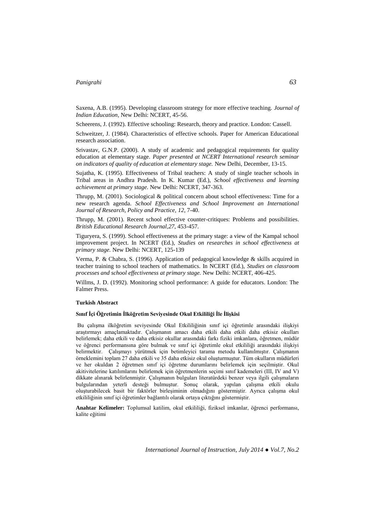Saxena, A.B. (1995). Developing classroom strategy for more effective teaching. *Journal of Indian Education,* New Delhi: NCERT, 45-56.

Scheerens, J. (1992). Effective schooling: Research, theory and practice. London: Cassell.

Schweitzer, J. (1984). Characteristics of effective schools. Paper for American Educational research association.

Srivastav, G.N.P. (2000). A study of academic and pedagogical requirements for quality education at elementary stage. *Paper presented at NCERT International research seminar on indicators of quality of education at elementary stage.* New Delhi, December, 13-15.

Sujatha, K. (1995). Effectiveness of Tribal teachers: A study of single teacher schools in Tribal areas in Andhra Pradesh. In K. Kumar (Ed.), *School effectiveness and learning achievement at primary stage.* New Delhi: NCERT, 347-363.

Thrupp, M. (2001). Sociological & political concern about school effectiveness: Time for a new research agenda. *School Effectiveness and School Improvement an International Journal of Research, Policy and Practice, 12*, 7-40.

Thrupp, M. (2001). Recent school effective counter-critiques: Problems and possibilities. *British Educational Research Journal,27*, 453-457.

Tiguryera, S. (1999). School effectiveness at the primary stage: a view of the Kampal school improvement project. In NCERT (Ed.), *Studies on researches in school effectiveness at primary stage.* New Delhi: NCERT, 125-139

Verma, P. & Chabra, S. (1996). Application of pedagogical knowledge & skills acquired in teacher training to school teachers of mathematics. In NCERT (Ed.), *Studies on classroom processes and school effectiveness at primary stage.* New Delhi: NCERT, 406-425.

Willms, J. D. (1992). Monitoring school performance: A guide for educators. London: The Falmer Press.

### **Turkish Abstract**

## **Sınıf İçi Öğretimin İlköğretim Seviyesinde Okul Etkililiği İle İlişkisi**

Bu çalışma ilköğretim seviyesinde Okul Etkililiğinin sınıf içi öğretimle arasındaki ilişkiyi araştırmayı amaçlamaktadır. Çalışmanın amacı daha etkili daha etkili daha etkisiz okulları belirlemek; daha etkili ve daha etkisiz okullar arasındaki farkı fiziki imkanlara, öğretmen, müdür ve öğrenci performansına göre bulmak ve sınıf içi öğretimle okul etkililiği arasındaki ilişkiyi belirmektir. Çalışmayı yürütmek için betimleyici tarama metodu kullanılmıştır. Çalışmanın örneklemini toplam 27 daha etkili ve 35 daha etkisiz okul oluşturmuştur. Tüm okulların müdürleri ve her okuldan 2 öğretmen sınıf içi öğretme durumlarını belirlemek için seçilmiştir. Okul akitivitelerine katılımlarını belirlemek için öğretmenlerin seçimi sınıf kademeleri (III, IV and V) dikkate alınarak belirlenmiştir. Çalışmanın bulguları literatürdeki benzer veya ilgili çalışmaların bulgularından yeterli desteği bulmuştur. Sonuç olarak, yapılan çalışma etkili okulu oluşturabilecek basit bir faktörler birleşiminin olmadığını göstermiştir. Ayrıca çalışma okul etkililiğinin sınıf içi öğretimler bağlantılı olarak ortaya çıktığını göstermiştir.

**Anahtar Kelimeler:** Toplumsal katilim, okul etkililiği, fiziksel imkanlar, öğrenci performansı, kalite eğitimi